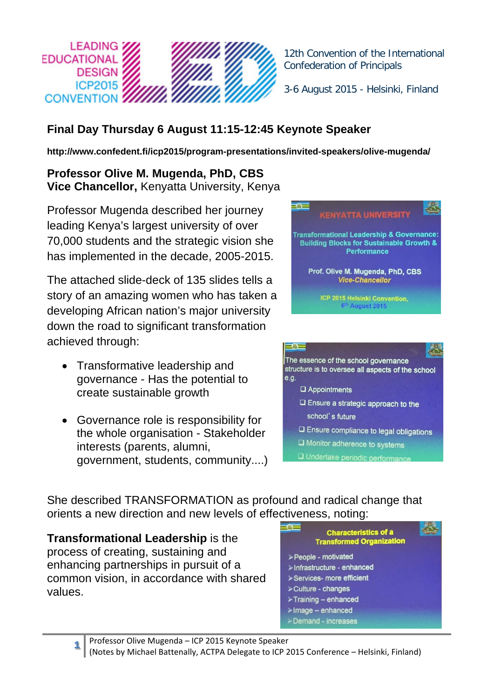

12th Convention of the International Confederation of Principals

3-6 August 2015 - Helsinki, Finland

## **Final Day Thursday 6 August 11:15-12:45 Keynote Speaker**

**http://www.confedent.fi/icp2015/program-presentations/invited-speakers/olive-mugenda/**

**Professor Olive M. Mugenda, PhD, CBS Vice Chancellor,** Kenyatta University, Kenya

Professor Mugenda described her journey leading Kenya's largest university of over 70,000 students and the strategic vision she has implemented in the decade, 2005-2015.

The attached slide-deck of 135 slides tells a story of an amazing women who has taken a developing African nation's major university down the road to significant transformation achieved through:

- Transformative leadership and governance - Has the potential to create sustainable growth
- Governance role is responsibility for the whole organisation - Stakeholder interests (parents, alumni, government, students, community....)





She described TRANSFORMATION as profound and radical change that orients a new direction and new levels of effectiveness, noting:

**Transformational Leadership** is the process of creating, sustaining and enhancing partnerships in pursuit of a common vision, in accordance with shared values.

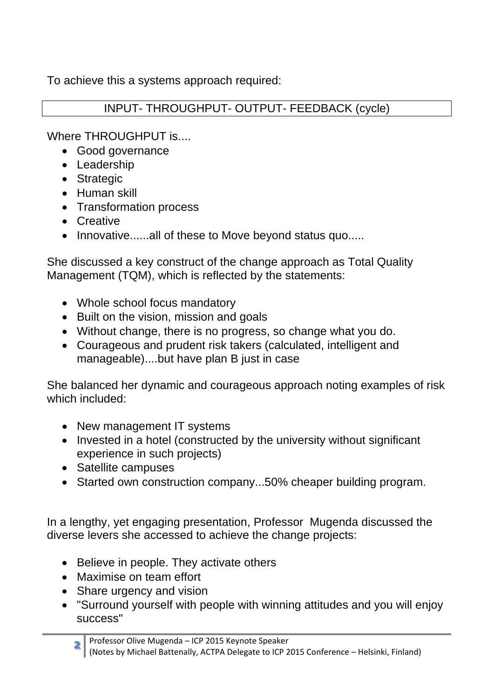To achieve this a systems approach required:

## INPUT- THROUGHPUT- OUTPUT- FEEDBACK (cycle)

Where THROUGHPUT is....

- Good governance
- Leadership
- Strategic
- Human skill
- Transformation process
- Creative
- Innovative......all of these to Move beyond status quo.....

She discussed a key construct of the change approach as Total Quality Management (TQM), which is reflected by the statements:

- Whole school focus mandatory
- Built on the vision, mission and goals
- Without change, there is no progress, so change what you do.
- Courageous and prudent risk takers (calculated, intelligent and manageable)....but have plan B just in case

She balanced her dynamic and courageous approach noting examples of risk which included:

- New management IT systems
- Invested in a hotel (constructed by the university without significant experience in such projects)
- Satellite campuses
- Started own construction company...50% cheaper building program.

In a lengthy, yet engaging presentation, Professor Mugenda discussed the diverse levers she accessed to achieve the change projects:

- Believe in people. They activate others
- Maximise on team effort
- Share urgency and vision
- "Surround yourself with people with winning attitudes and you will enjoy success"